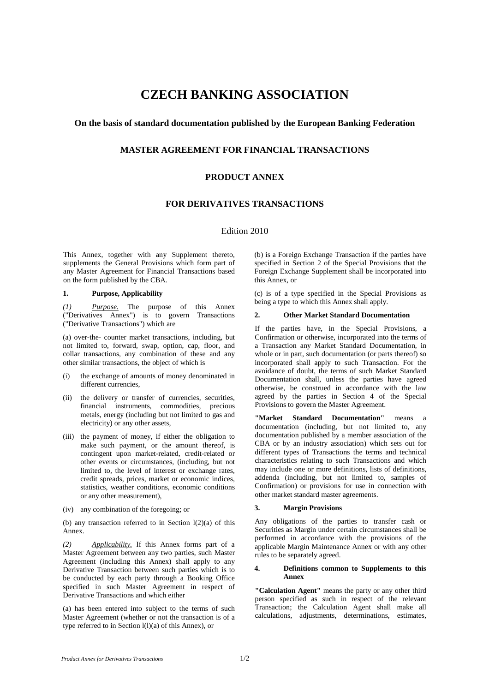# **CZECH BANKING ASSOCIATION**

### **On the basis of standard documentation published by the European Banking Federation**

## **MASTER AGREEMENT FOR FINANCIAL TRANSACTIONS**

### **PRODUCT ANNEX**

## **FOR DERIVATIVES TRANSACTIONS**

### Edition 2010

This Annex, together with any Supplement thereto, supplements the General Provisions which form part of any Master Agreement for Financial Transactions based on the form published by the CBA.

#### **1. Purpose, Applicability**

*(1) Purpose.* The purpose of this Annex ("Derivatives Annex") is to govern Transactions ("Derivative Transactions") which are

(a) over-the- counter market transactions, including, but not limited to, forward, swap, option, cap, floor, and collar transactions, any combination of these and any other similar transactions, the object of which is

- the exchange of amounts of money denominated in different currencies,
- (ii) the delivery or transfer of currencies, securities, financial instruments, commodities, precious metals, energy (including but not limited to gas and electricity) or any other assets,
- (iii) the payment of money, if either the obligation to make such payment, or the amount thereof, is contingent upon market-related, credit-related or other events or circumstances, (including, but not limited to, the level of interest or exchange rates, credit spreads, prices, market or economic indices, statistics, weather conditions, economic conditions or any other measurement),
- (iv) any combination of the foregoing; or

(b) any transaction referred to in Section  $l(2)(a)$  of this Annex.

*(2) Applicability.* If this Annex forms part of a Master Agreement between any two parties, such Master Agreement (including this Annex) shall apply to any Derivative Transaction between such parties which is to be conducted by each party through a Booking Office specified in such Master Agreement in respect of Derivative Transactions and which either

(a) has been entered into subject to the terms of such Master Agreement (whether or not the transaction is of a type referred to in Section l(l)(a) of this Annex), or

(b) is a Foreign Exchange Transaction if the parties have specified in Section 2 of the Special Provisions that the Foreign Exchange Supplement shall be incorporated into this Annex, or

(c) is of a type specified in the Special Provisions as being a type to which this Annex shall apply.

#### **2. Other Market Standard Documentation**

If the parties have, in the Special Provisions, a Confirmation or otherwise, incorporated into the terms of a Transaction any Market Standard Documentation, in whole or in part, such documentation (or parts thereof) so incorporated shall apply to such Transaction. For the avoidance of doubt, the terms of such Market Standard Documentation shall, unless the parties have agreed otherwise, be construed in accordance with the law agreed by the parties in Section 4 of the Special Provisions to govern the Master Agreement.

**"Market Standard Documentation"** means a documentation (including, but not limited to, any documentation published by a member association of the CBA or by an industry association) which sets out for different types of Transactions the terms and technical characteristics relating to such Transactions and which may include one or more definitions, lists of definitions, addenda (including, but not limited to, samples of Confirmation) or provisions for use in connection with other market standard master agreements.

#### **3. Margin Provisions**

Any obligations of the parties to transfer cash or Securities as Margin under certain circumstances shall be performed in accordance with the provisions of the applicable Margin Maintenance Annex or with any other rules to be separately agreed.

#### **4. Definitions common to Supplements to this Annex**

**"Calculation Agent"** means the party or any other third person specified as such in respect of the relevant Transaction; the Calculation Agent shall make all calculations, adjustments, determinations, estimates,